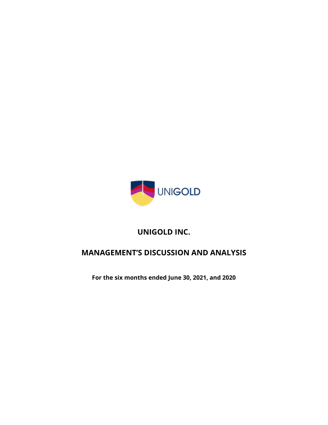

# **UNIGOLD INC.**

# **MANAGEMENT'S DISCUSSION AND ANALYSIS**

**For the six months ended June 30, 2021, and 2020**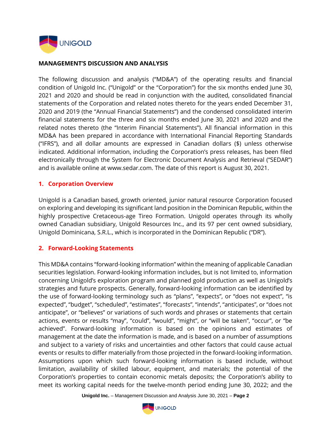

#### **MANAGEMENT'S DISCUSSION AND ANALYSIS**

The following discussion and analysis ("MD&A") of the operating results and financial condition of Unigold Inc. ("Unigold" or the "Corporation") for the six months ended June 30, 2021 and 2020 and should be read in conjunction with the audited, consolidated financial statements of the Corporation and related notes thereto for the years ended December 31, 2020 and 2019 (the "Annual Financial Statements") and the condensed consolidated interim financial statements for the three and six months ended June 30, 2021 and 2020 and the related notes thereto (the "Interim Financial Statements"). All financial information in this MD&A has been prepared in accordance with International Financial Reporting Standards ("IFRS"), and all dollar amounts are expressed in Canadian dollars (\$) unless otherwise indicated. Additional information, including the Corporation's press releases, has been filed electronically through the System for Electronic Document Analysis and Retrieval ("SEDAR") and is available online at www.sedar.com. The date of this report is August 30, 2021.

#### **1. Corporation Overview**

Unigold is a Canadian based, growth oriented, junior natural resource Corporation focused on exploring and developing its significant land position in the Dominican Republic, within the highly prospective Cretaceous-age Tireo Formation. Unigold operates through its wholly owned Canadian subsidiary, Unigold Resources Inc., and its 97 per cent owned subsidiary, Unigold Dominicana, S.R.L., which is incorporated in the Dominican Republic ("DR").

#### **2. Forward-Looking Statements**

This MD&A contains "forward-looking information" within the meaning of applicable Canadian securities legislation. Forward-looking information includes, but is not limited to, information concerning Unigold's exploration program and planned gold production as well as Unigold's strategies and future prospects. Generally, forward-looking information can be identified by the use of forward-looking terminology such as "plans", "expects", or "does not expect", "is expected", "budget", "scheduled", "estimates", "forecasts", "intends", "anticipates", or "does not anticipate", or "believes" or variations of such words and phrases or statements that certain actions, events or results "may", "could", "would", "might", or "will be taken", "occur", or "be achieved". Forward-looking information is based on the opinions and estimates of management at the date the information is made, and is based on a number of assumptions and subject to a variety of risks and uncertainties and other factors that could cause actual events or results to differ materially from those projected in the forward-looking information. Assumptions upon which such forward-looking information is based include, without limitation, availability of skilled labour, equipment, and materials; the potential of the Corporation's properties to contain economic metals deposits; the Corporation's ability to meet its working capital needs for the twelve-month period ending June 30, 2022; and the

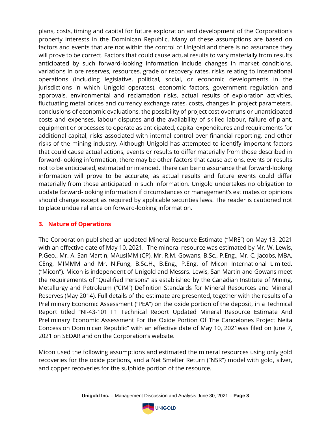plans, costs, timing and capital for future exploration and development of the Corporation's property interests in the Dominican Republic. Many of these assumptions are based on factors and events that are not within the control of Unigold and there is no assurance they will prove to be correct. Factors that could cause actual results to vary materially from results anticipated by such forward-looking information include changes in market conditions, variations in ore reserves, resources, grade or recovery rates, risks relating to international operations (including legislative, political, social, or economic developments in the jurisdictions in which Unigold operates), economic factors, government regulation and approvals, environmental and reclamation risks, actual results of exploration activities, fluctuating metal prices and currency exchange rates, costs, changes in project parameters, conclusions of economic evaluations, the possibility of project cost overruns or unanticipated costs and expenses, labour disputes and the availability of skilled labour, failure of plant, equipment or processes to operate as anticipated, capital expenditures and requirements for additional capital, risks associated with internal control over financial reporting, and other risks of the mining industry. Although Unigold has attempted to identify important factors that could cause actual actions, events or results to differ materially from those described in forward-looking information, there may be other factors that cause actions, events or results not to be anticipated, estimated or intended. There can be no assurance that forward-looking information will prove to be accurate, as actual results and future events could differ materially from those anticipated in such information. Unigold undertakes no obligation to update forward-looking information if circumstances or management's estimates or opinions should change except as required by applicable securities laws. The reader is cautioned not to place undue reliance on forward-looking information.

#### **3. Nature of Operations**

The Corporation published an updated Mineral Resource Estimate ("MRE") on May 13, 2021 with an effective date of May 10, 2021. The mineral resource was estimated by Mr. W. Lewis, P.Geo., Mr. A. San Martin, MAusIMM (CP), Mr. R.M. Gowans, B.Sc., P.Eng., Mr. C. Jacobs, MBA, CEng, MIMMM and Mr. N.Fung, B.Sc.H., B.Eng., P.Eng. of Micon International Limited. ("Micon"). Micon is independent of Unigold and Messrs. Lewis, San Martin and Gowans meet the requirements of "Qualified Persons" as established by the Canadian Institute of Mining, Metallurgy and Petroleum ("CIM") Definition Standards for Mineral Resources and Mineral Reserves (May 2014). Full details of the estimate are presented, together with the results of a Preliminary Economic Assessment ("PEA") on the oxide portion of the deposit, in a Technical Report titled "NI-43-101 F1 Technical Report Updated Mineral Resource Estimate And Preliminary Economic Assessment For the Oxide Portion Of The Candelones Project Neita Concession Dominican Republic" with an effective date of May 10, 2021was filed on June 7, 2021 on SEDAR and on the Corporation's website.

Micon used the following assumptions and estimated the mineral resources using only gold recoveries for the oxide portions, and a Net Smelter Return ("NSR") model with gold, silver, and copper recoveries for the sulphide portion of the resource.

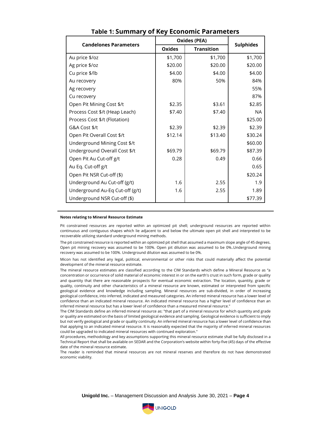| <b>Candelones Parameters</b>    | <b>Oxides (PEA)</b> | <b>Sulphides</b>  |           |
|---------------------------------|---------------------|-------------------|-----------|
|                                 | <b>Oxides</b>       | <b>Transition</b> |           |
| Au price \$/oz                  | \$1,700             | \$1,700           | \$1,700   |
| Ag price \$/oz                  | \$20.00             | \$20.00           | \$20.00   |
| Cu price \$/lb                  | \$4.00              | \$4.00            | \$4.00    |
| Au recovery                     | 80%                 | 50%               | 84%       |
| Ag recovery                     |                     |                   | 55%       |
| Cu recovery                     |                     |                   | 87%       |
| Open Pit Mining Cost \$/t       | \$2.35              | \$3.61            | \$2.85    |
| Process Cost \$/t (Heap Leach)  | \$7.40              | \$7.40            | <b>NA</b> |
| Process Cost \$/t (Flotation)   |                     |                   | \$25.00   |
| G&A Cost \$/t                   | \$2.39              | \$2.39            | \$2.39    |
| Open Pit Overall Cost \$/t      | \$12.14             | \$13.40           | \$30.24   |
| Underground Mining Cost \$/t    |                     |                   | \$60.00   |
| Underground Overall Cost \$/t   | \$69.79             | \$69.79           | \$87.39   |
| Open Pit Au Cut-off g/t         | 0.28                | 0.49              | 0.66      |
| Au Eq. Cut-off g/t              |                     |                   | 0.65      |
| Open Pit NSR Cut-off (\$)       |                     |                   | \$20.24   |
| Underground Au Cut-off (g/t)    | 1.6                 | 2.55              | 1.9       |
| Underground Au-Eq Cut-off (g/t) | 1.6                 | 2.55              | 1.89      |
| Underground NSR Cut-off (\$)    |                     |                   | \$77.39   |

#### **Table 1: Summary of Key Economic Parameters**

#### **Notes relating to Mineral Resource Estimate**

Pit constrained resources are reported within an optimized pit shell; underground resources are reported within continuous and contiguous shapes which lie adjacent to and below the ultimate open pit shell and interpreted to be recoverable utilizing standard underground mining methods.

The pit constrained resource is reported within an optimized pit shell that assumed a maximum slope angle of 45 degrees. Open pit mining recovery was assumed to be 100%. Open pit dilution was assumed to be 0%..Underground mining recovery was assumed to be 100%. Underground dilution was assumed to be 0%.

Micon has not identified any legal, political, environmental or other risks that could materially affect the potential development of the mineral resource estimate.

The mineral resource estimates are classified according to the CIM Standards which define a Mineral Resource as "a concentration or occurrence of solid material of economic interest in or on the earth's crust in such form, grade or quality and quantity that there are reasonable prospects for eventual economic extraction. The location, quantity, grade or quality, continuity and other characteristics of a mineral resource are known, estimated or interpreted from specific geological evidence and knowledge including sampling. Mineral resources are sub-divided, in order of increasing geological confidence, into inferred, indicated and measured categories. An inferred mineral resource has a lower level of confidence than an indicated mineral resource. An indicated mineral resource has a higher level of confidence than an inferred mineral resource but has a lower level of confidence than a measured mineral resource."

The CIM Standards define an inferred mineral resource as: "that part of a mineral resource for which quantity and grade or quality are estimated on the basis of limited geological evidence and sampling. Geological evidence is sufficient to imply but not verify geological and grade or quality continuity. An inferred mineral resource has a lower level of confidence than that applying to an indicated mineral resource. It is reasonably expected that the majority of inferred mineral resources could be upgraded to indicated mineral resources with continued exploration."

All procedures, methodology and key assumptions supporting this mineral resource estimate shall be fully disclosed in a Technical Report that shall be available on SEDAR and the Corporation's website within forty-five (45) days of the effective date of the mineral resource estimate.

The reader is reminded that mineral resources are not mineral reserves and therefore do not have demonstrated economic viability.



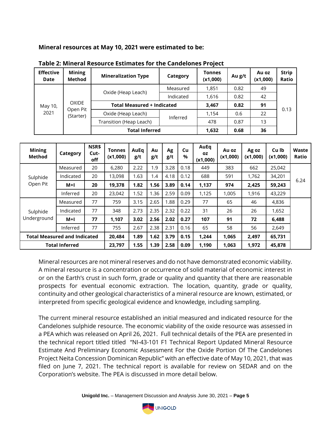**Mineral resources at May 10, 2021 were estimated to be:**

| <b>Effective</b><br>Date | <b>Mining</b><br><b>Method</b>        | <b>Mineralization Type</b>        | Category  | <b>Tonnes</b><br>(x1,000) | Au g/t | Au oz<br>(x1,000) | <b>Strip</b><br>Ratio |
|--------------------------|---------------------------------------|-----------------------------------|-----------|---------------------------|--------|-------------------|-----------------------|
|                          |                                       |                                   | Measured  | 1,851                     | 0.82   | 49                |                       |
| May 10,<br>2021          | <b>OXIDE</b><br>Open Pit<br>(Starter) | Oxide (Heap Leach)                | Indicated | 1,616                     | 0.82   | 42                |                       |
|                          |                                       | <b>Total Measured + Indicated</b> |           | 3,467                     | 0.82   | 91                |                       |
|                          |                                       | Oxide (Heap Leach)                |           | 1,154                     | 0.6    | 22                | 0.13                  |
|                          |                                       | Transition (Heap Leach)           | Inferred  | 478                       | 0.87   | 13                |                       |
|                          |                                       | <b>Total Inferred</b>             | 1,632     | 0.68                      | 36     |                   |                       |

| Table 2: Mineral Resource Estimates for the Candelones Project |  |
|----------------------------------------------------------------|--|
|----------------------------------------------------------------|--|

| <b>Mining</b><br><b>Method</b>      | Category              | NSR\$<br>Cut-<br>off | <b>Tonnes</b><br>(x1,000) | AuEa<br>g/t | Au<br>g/t | Ag<br>g/t | Cu<br>$\%$ | AuEq<br>0Z<br>(x1,000) | Au oz<br>(x1,000) | Ag oz<br>(x1,000) | Cu lb<br>(x1,000) | Waste<br>Ratio |
|-------------------------------------|-----------------------|----------------------|---------------------------|-------------|-----------|-----------|------------|------------------------|-------------------|-------------------|-------------------|----------------|
|                                     | Measured              | 20                   | 6,280                     | 2.22        | 1.9       | 3.28      | 0.18       | 449                    | 383               | 662               | 25,042            |                |
| Sulphide                            | Indicated             | 20                   | 13,098                    | 1.63        | 1.4       | 4.18      | 0.12       | 688                    | 591               | 1,762             | 34,201            | 6.24           |
| Open Pit                            | M+I                   | 20                   | 19,378                    | 1.82        | 1.56      | 3.89      | 0.14       | 1,137                  | 974               | 2,425             | 59,243            |                |
|                                     | Inferred              | 20                   | 23,042                    | 1.52        | 1.36      | 2.59      | 0.09       | 1,125                  | 1,005             | 1,916             | 43,229            |                |
|                                     | Measured              | 77                   | 759                       | 3.15        | 2.65      | 1.88      | 0.29       | 77                     | 65                | 46                | 4,836             |                |
| Sulphide                            | Indicated             | 77                   | 348                       | 2.73        | 2.35      | 2.32      | 0.22       | 31                     | 26                | 26                | 1,652             |                |
| Underground                         | M+I                   | 77                   | 1,107                     | 3.02        | 2.56      | 2.02      | 0.27       | 107                    | 91                | 72                | 6,488             |                |
|                                     | Inferred              | 77                   | 755                       | 2.67        | 2.38      | 2.31      | 0.16       | 65                     | 58                | 56                | 2,649             |                |
| <b>Total Measured and Indicated</b> |                       |                      | 20,484                    | 1.89        | 1.62      | 3.79      | 0.15       | 1,244                  | 1,065             | 2,497             | 65,731            |                |
|                                     | <b>Total Inferred</b> |                      | 23,797                    | 1.55        | 1.39      | 2.58      | 0.09       | 1,190                  | 1,063             | 1,972             | 45,878            |                |

Mineral resources are not mineral reserves and do not have demonstrated economic viability. A mineral resource is a concentration or occurrence of solid material of economic interest in or on the Earth's crust in such form, grade or quality and quantity that there are reasonable prospects for eventual economic extraction. The location, quantity, grade or quality, continuity and other geological characteristics of a mineral resource are known, estimated, or interpreted from specific geological evidence and knowledge, including sampling.

The current mineral resource established an initial measured and indicated resource for the Candelones sulphide resource. The economic viability of the oxide resource was assessed in a PEA which was released on April 26, 2021. Full technical details of the PEA are presented in the technical report titled titled "NI-43-101 F1 Technical Report Updated Mineral Resource Estimate And Preliminary Economic Assessment For the Oxide Portion Of The Candelones Project Neita Concession Dominican Republic" with an effective date of May 10, 2021, that was filed on June 7, 2021. The technical report is available for review on SEDAR and on the Corporation's website. The PEA is discussed in more detail below.

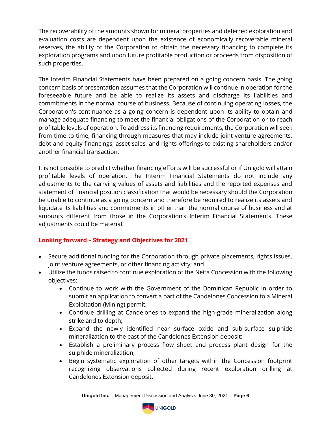The recoverability of the amounts shown for mineral properties and deferred exploration and evaluation costs are dependent upon the existence of economically recoverable mineral reserves, the ability of the Corporation to obtain the necessary financing to complete its exploration programs and upon future profitable production or proceeds from disposition of such properties.

The Interim Financial Statements have been prepared on a going concern basis. The going concern basis of presentation assumes that the Corporation will continue in operation for the foreseeable future and be able to realize its assets and discharge its liabilities and commitments in the normal course of business. Because of continuing operating losses, the Corporation's continuance as a going concern is dependent upon its ability to obtain and manage adequate financing to meet the financial obligations of the Corporation or to reach profitable levels of operation. To address its financing requirements, the Corporation will seek from time to time, financing through measures that may include joint venture agreements, debt and equity financings, asset sales, and rights offerings to existing shareholders and/or another financial transaction.

It is not possible to predict whether financing efforts will be successful or if Unigold will attain profitable levels of operation. The Interim Financial Statements do not include any adjustments to the carrying values of assets and liabilities and the reported expenses and statement of financial position classification that would be necessary should the Corporation be unable to continue as a going concern and therefore be required to realize its assets and liquidate its liabilities and commitments in other than the normal course of business and at amounts different from those in the Corporation's Interim Financial Statements. These adjustments could be material.

# **Looking forward – Strategy and Objectives for 2021**

- Secure additional funding for the Corporation through private placements, rights issues, joint venture agreements, or other financing activity; and
- Utilize the funds raised to continue exploration of the Neita Concession with the following objectives:
	- Continue to work with the Government of the Dominican Republic in order to submit an application to convert a part of the Candelones Concession to a Mineral Exploitation (Mining) permit;
	- Continue drilling at Candelones to expand the high-grade mineralization along strike and to depth;
	- Expand the newly identified near surface oxide and sub-surface sulphide mineralization to the east of the Candelones Extension deposit;
	- Establish a preliminary process flow sheet and process plant design for the sulphide mineralization;
	- Begin systematic exploration of other targets within the Concession footprint recognizing observations collected during recent exploration drilling at Candelones Extension deposit.

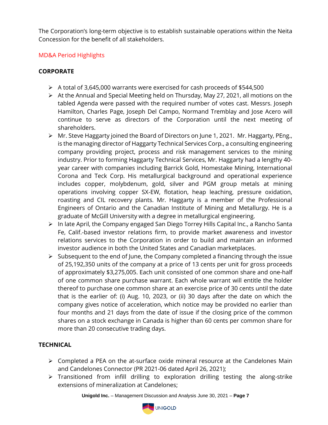The Corporation's long-term objective is to establish sustainable operations within the Neita Concession for the benefit of all stakeholders.

# MD&A Period Highlights

# **CORPORATE**

- ➢ A total of 3,645,000 warrants were exercised for cash proceeds of \$544,500
- ➢ At the Annual and Special Meeting held on Thursday, May 27, 2021, all motions on the tabled Agenda were passed with the required number of votes cast. Messrs. Joseph Hamilton, Charles Page, Joseph Del Campo, Normand Tremblay and Jose Acero will continue to serve as directors of the Corporation until the next meeting of shareholders.
- ➢ Mr. Steve Haggarty joined the Board of Directors on June 1, 2021. Mr. Haggarty, PEng., is the managing director of Haggarty Technical Services Corp., a consulting engineering company providing project, process and risk management services to the mining industry. Prior to forming Haggarty Technical Services, Mr. Haggarty had a lengthy 40 year career with companies including Barrick Gold, Homestake Mining, International Corona and Teck Corp. His metallurgical background and operational experience includes copper, molybdenum, gold, silver and PGM group metals at mining operations involving copper SX-EW, flotation, heap leaching, pressure oxidation, roasting and CIL recovery plants. Mr. Haggarty is a member of the Professional Engineers of Ontario and the Canadian Institute of Mining and Metallurgy. He is a graduate of McGill University with a degree in metallurgical engineering.
- ➢ In late April, the Company engaged San Diego Torrey Hills Capital Inc., a Rancho Santa Fe, Calif.-based investor relations firm, to provide market awareness and investor relations services to the Corporation in order to build and maintain an informed investor audience in both the United States and Canadian marketplaces.
- $\triangleright$  Subsequent to the end of June, the Company completed a financing through the issue of 25,192,350 units of the company at a price of 13 cents per unit for gross proceeds of approximately \$3,275,005. Each unit consisted of one common share and one-half of one common share purchase warrant. Each whole warrant will entitle the holder thereof to purchase one common share at an exercise price of 30 cents until the date that is the earlier of: (i) Aug. 10, 2023, or (ii) 30 days after the date on which the company gives notice of acceleration, which notice may be provided no earlier than four months and 21 days from the date of issue if the closing price of the common shares on a stock exchange in Canada is higher than 60 cents per common share for more than 20 consecutive trading days.

# **TECHNICAL**

- $\triangleright$  Completed a PEA on the at-surface oxide mineral resource at the Candelones Main and Candelones Connector (PR 2021-06 dated April 26, 2021);
- ➢ Transitioned from infill drilling to exploration drilling testing the along-strike extensions of mineralization at Candelones;

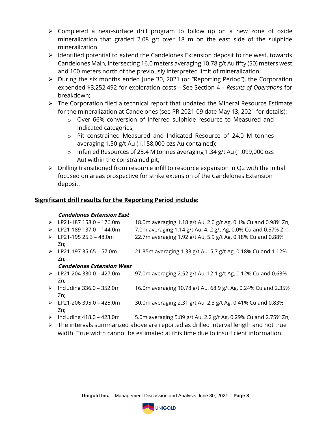- ➢ Completed a near-surface drill program to follow up on a new zone of oxide mineralization that graded 2.08 g/t over 18 m on the east side of the sulphide mineralization.
- ➢ Identified potential to extend the Candelones Extension deposit to the west, towards Candelones Main, intersecting 16.0 meters averaging 10.78 g/t Au fifty (50) meters west and 100 meters north of the previously interpreted limit of mineralization
- ➢ During the six months ended June 30, 2021 (or "Reporting Period"), the Corporation expended \$3,252,492 for exploration costs – See Section 4 – *Results of Operations* for breakdown;
- $\triangleright$  The Corporation filed a technical report that updated the Mineral Resource Estimate for the mineralization at Candelones (see PR 2021-09 date May 13, 2021 for details):
	- o Over 66% conversion of Inferred sulphide resource to Measured and Indicated categories;
	- o Pit constrained Measured and Indicated Resource of 24.0 M tonnes averaging 1.50 g/t Au (1,158,000 ozs Au contained);
	- o Inferred Resources of 25.4 M tonnes averaging 1.34 g/t Au (1,099,000 ozs Au) within the constrained pit;
- ➢ Drilling transitioned from resource infill to resource expansion in Q2 with the initial focused on areas prospective for strike extension of the Candelones Extension deposit.

# **Significant drill results for the Reporting Period include:**

#### **Candelones Extension East**

| $\triangleright$      | LP21-187 158.0 - 176.0m                  | 18.0m averaging 1.18 g/t Au, 2.0 g/t Ag, 0.1% Cu and 0.98% Zn; |
|-----------------------|------------------------------------------|----------------------------------------------------------------|
| $\triangleright$      | LP21-189 137.0 - 144.0m                  | 7.0m averaging 1.14 g/t Au, 4. 2 g/t Ag, 0.0% Cu and 0.57% Zn; |
| $\triangleright$      | LP21-195 25.3 - 48.0m                    | 22.7m averaging 1.92 g/t Au, 5.9 g/t Ag, 0.18% Cu and 0.88%    |
|                       | Zn:                                      |                                                                |
| $\blacktriangleright$ | LP21-197 35.65 - 57.0m                   | 21.35m averaging 1.33 g/t Au, 5.7 g/t Ag, 0.18% Cu and 1.12%   |
|                       | Zn:                                      |                                                                |
|                       | <b>Candelones Extension West</b>         |                                                                |
|                       | $\triangleright$ LP21-204 330.0 – 427.0m | 97.0m averaging 2.52 g/t Au, 12.1 g/t Ag, 0.12% Cu and 0.63%   |
|                       | Zn:                                      |                                                                |
| ➤                     | Including 336.0 - 352.0m                 | 16.0m averaging 10.78 g/t Au, 68.9 g/t Ag, 0.24% Cu and 2.35%  |
|                       | Zn:                                      |                                                                |
| $\triangleright$      | LP21-206 395.0 - 425.0m                  | 30.0m averaging 2.31 g/t Au, 2.3 g/t Ag, 0.41% Cu and 0.83%    |
|                       | Zn:                                      |                                                                |

- $\triangleright$  Including 418.0 423.0m 5.0m averaging 5.89 g/t Au, 2.2 g/t Ag, 0.29% Cu and 2.75% Zn;
- ➢ The intervals summarized above are reported as drilled interval length and not true width. True width cannot be estimated at this time due to insufficient information.

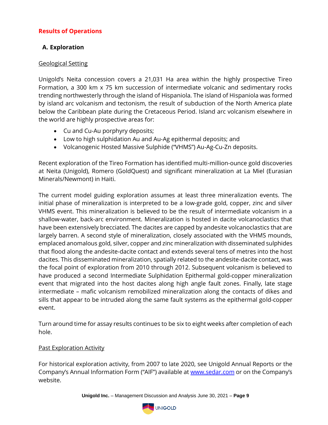# **Results of Operations**

# **A. Exploration**

### Geological Setting

Unigold's Neita concession covers a 21,031 Ha area within the highly prospective Tireo Formation, a 300 km x 75 km succession of intermediate volcanic and sedimentary rocks trending northwesterly through the island of Hispaniola. The island of Hispaniola was formed by island arc volcanism and tectonism, the result of subduction of the North America plate below the Caribbean plate during the Cretaceous Period. Island arc volcanism elsewhere in the world are highly prospective areas for:

- Cu and Cu-Au porphyry deposits;
- Low to high sulphidation Au and Au-Ag epithermal deposits; and
- Volcanogenic Hosted Massive Sulphide ("VHMS") Au-Ag-Cu-Zn deposits.

Recent exploration of the Tireo Formation has identified multi-million-ounce gold discoveries at Neita (Unigold), Romero (GoldQuest) and significant mineralization at La Miel (Eurasian Minerals/Newmont) in Haiti.

The current model guiding exploration assumes at least three mineralization events. The initial phase of mineralization is interpreted to be a low-grade gold, copper, zinc and silver VHMS event. This mineralization is believed to be the result of intermediate volcanism in a shallow-water, back-arc environment. Mineralization is hosted in dacite volcanoclastics that have been extensively brecciated. The dacites are capped by andesite volcanoclastics that are largely barren. A second style of mineralization, closely associated with the VHMS mounds, emplaced anomalous gold, silver, copper and zinc mineralization with disseminated sulphides that flood along the andesite-dacite contact and extends several tens of metres into the host dacites. This disseminated mineralization, spatially related to the andesite-dacite contact, was the focal point of exploration from 2010 through 2012. Subsequent volcanism is believed to have produced a second Intermediate Sulphidation Epithermal gold-copper mineralization event that migrated into the host dacites along high angle fault zones. Finally, late stage intermediate – mafic volcanism remobilized mineralization along the contacts of dikes and sills that appear to be intruded along the same fault systems as the epithermal gold-copper event.

Turn around time for assay results continues to be six to eight weeks after completion of each hole.

# Past Exploration Activity

For historical exploration activity, from 2007 to late 2020, see Unigold Annual Reports or the Company's Annual Information Form ("AIF") available at [www.sedar.com](http://www.sedar.com/) or on the Company's website.

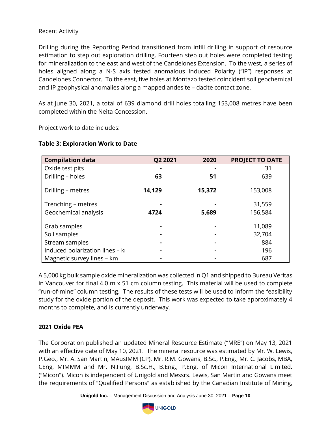### Recent Activity

Drilling during the Reporting Period transitioned from infill drilling in support of resource estimation to step out exploration drilling. Fourteen step out holes were completed testing for mineralization to the east and west of the Candelones Extension. To the west, a series of holes aligned along a N-S axis tested anomalous Induced Polarity ("IP") responses at Candelones Connector. To the east, five holes at Montazo tested coincident soil geochemical and IP geophysical anomalies along a mapped andesite – dacite contact zone.

As at June 30, 2021, a total of 639 diamond drill holes totalling 153,008 metres have been completed within the Neita Concession.

Project work to date includes:

| <b>Table 3: Exploration Work to Date</b> |  |
|------------------------------------------|--|
|                                          |  |

| <b>Compilation data</b>         | Q2 2021 | 2020   | <b>PROJECT TO DATE</b> |
|---------------------------------|---------|--------|------------------------|
| Oxide test pits                 |         |        | 31                     |
| Drilling - holes                | 63      | 51     | 639                    |
| Drilling - metres               | 14,129  | 15,372 | 153,008                |
| Trenching - metres              |         |        | 31,559                 |
| Geochemical analysis            | 4724    | 5,689  | 156,584                |
| Grab samples                    |         |        | 11,089                 |
| Soil samples                    |         |        | 32,704                 |
| Stream samples                  |         |        | 884                    |
| Induced polarization lines - ki |         |        | 196                    |
| Magnetic survey lines - km      |         |        | 687                    |

A 5,000 kg bulk sample oxide mineralization was collected in Q1 and shipped to Bureau Veritas in Vancouver for final 4.0 m x 51 cm column testing. This material will be used to complete "run-of-mine" column testing. The results of these tests will be used to inform the feasibility study for the oxide portion of the deposit. This work was expected to take approximately 4 months to complete, and is currently underway.

#### **2021 Oxide PEA**

The Corporation published an updated Mineral Resource Estimate ("MRE") on May 13, 2021 with an effective date of May 10, 2021. The mineral resource was estimated by Mr. W. Lewis, P.Geo., Mr. A. San Martin, MAusIMM (CP), Mr. R.M. Gowans, B.Sc., P.Eng., Mr. C. Jacobs, MBA, CEng, MIMMM and Mr. N.Fung, B.Sc.H., B.Eng., P.Eng. of Micon International Limited. ("Micon"). Micon is independent of Unigold and Messrs. Lewis, San Martin and Gowans meet the requirements of "Qualified Persons" as established by the Canadian Institute of Mining,

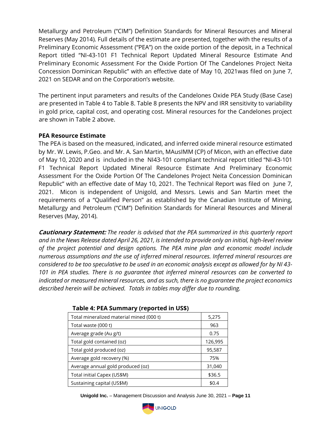Metallurgy and Petroleum ("CIM") Definition Standards for Mineral Resources and Mineral Reserves (May 2014). Full details of the estimate are presented, together with the results of a Preliminary Economic Assessment ("PEA") on the oxide portion of the deposit, in a Technical Report titled "NI-43-101 F1 Technical Report Updated Mineral Resource Estimate And Preliminary Economic Assessment For the Oxide Portion Of The Candelones Project Neita Concession Dominican Republic" with an effective date of May 10, 2021was filed on June 7, 2021 on SEDAR and on the Corporation's website.

The pertinent input parameters and results of the Candelones Oxide PEA Study (Base Case) are presented in Table 4 to Table 8. Table 8 presents the NPV and IRR sensitivity to variability in gold price, capital cost, and operating cost. Mineral resources for the Candelones project are shown in Table 2 above.

#### **PEA Resource Estimate**

The PEA is based on the measured, indicated, and inferred oxide mineral resource estimated by Mr. W. Lewis, P.Geo. and Mr. A. San Martin, MAusIMM (CP) of Micon, with an effective date of May 10, 2020 and is included in the NI43-101 compliant technical report titled "NI-43-101 F1 Technical Report Updated Mineral Resource Estimate And Preliminary Economic Assessment For the Oxide Portion Of The Candelones Project Neita Concession Dominican Republic" with an effective date of May 10, 2021. The Technical Report was filed on June 7, 2021. Micon is independent of Unigold, and Messrs. Lewis and San Martin meet the requirements of a "Qualified Person" as established by the Canadian Institute of Mining, Metallurgy and Petroleum ("CIM") Definition Standards for Mineral Resources and Mineral Reserves (May, 2014).

**Cautionary Statement:** *The reader is advised that the PEA summarized in this quarterly report and in the News Release dated April 26, 2021, is intended to provide only an initial, high-level review of the project potential and design options. The PEA mine plan and economic model include numerous assumptions and the use of inferred mineral resources. Inferred mineral resources are considered to be too speculative to be used in an economic analysis except as allowed for by NI 43- 101 in PEA studies. There is no guarantee that inferred mineral resources can be converted to indicated or measured mineral resources, and as such, there is no guarantee the project economics described herein will be achieved. Totals in tables may differ due to rounding.*

| Total mineralized material mined (000 t) | 5,275   |
|------------------------------------------|---------|
| Total waste (000 t)                      | 963     |
| Average grade (Au g/t)                   | 0.75    |
| Total gold contained (oz)                | 126,995 |
| Total gold produced (oz)                 | 95,587  |
| Average gold recovery (%)                | 75%     |
| Average annual gold produced (oz)        | 31,040  |
| Total initial Capex (US\$M)              | \$36.5  |
| Sustaining capital (US\$M)               | \$0.4   |

#### **Table 4: PEA Summary (reported in US\$)**

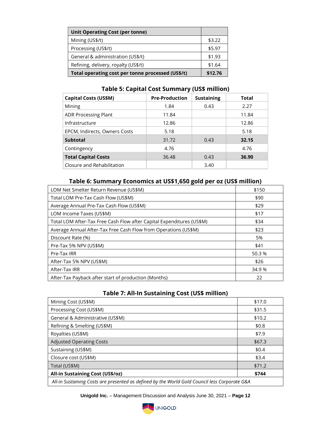| <b>Unit Operating Cost (per tonne)</b>            |         |
|---------------------------------------------------|---------|
| Mining (US\$/t)                                   | \$3.22  |
| Processing (US\$/t)                               | \$5.97  |
| General & administration (US\$/t)                 | \$1.93  |
| Refining, delivery, royalty (US\$/t)              | \$1.64  |
| Total operating cost per tonne processed (US\$/t) | \$12.76 |

### **Table 5: Capital Cost Summary (US\$ million)**

| <b>Capital Costs (US\$M)</b>  | <b>Pre-Production</b> | <b>Sustaining</b> | Total |
|-------------------------------|-----------------------|-------------------|-------|
| Mining                        | 1.84                  | 0.43              | 2.27  |
| <b>ADR Processing Plant</b>   | 11.84                 |                   | 11.84 |
| Infrastructure                | 12.86                 |                   | 12.86 |
| EPCM, Indirects, Owners Costs | 5.18                  |                   | 5.18  |
| <b>Subtotal</b>               | 31.72                 | 0.43              | 32.15 |
| Contingency                   | 4.76                  |                   | 4.76  |
| <b>Total Capital Costs</b>    | 36.48                 | 0.43              | 36.90 |
| Closure and Rehabilitation    |                       | 3.40              |       |

# **Table 6: Summary Economics at US\$1,650 gold per oz (US\$ million)**

| LOM Net Smelter Return Revenue (US\$M)                                | \$150  |
|-----------------------------------------------------------------------|--------|
| Total LOM Pre-Tax Cash Flow (US\$M)                                   | \$90   |
| Average Annual Pre-Tax Cash Flow (US\$M)                              | \$29   |
| LOM Income Taxes (US\$M)                                              | \$17   |
| Total LOM After-Tax Free Cash Flow after Capital Expenditures (US\$M) | \$34   |
| Average Annual After-Tax Free Cash Flow from Operations (US\$M)       | \$23   |
| Discount Rate (%)                                                     | 5%     |
| Pre-Tax 5% NPV (US\$M)                                                | \$41   |
| Pre-Tax IRR                                                           | 50.3%  |
| After-Tax 5% NPV (US\$M)                                              | \$26   |
| After-Tax IRR                                                         | 34.9 % |
| After-Tax Payback after start of production (Months)                  | 22     |

# **Table 7: All-In Sustaining Cost (US\$ million)**

| Mining Cost (US\$M)                                                                           | \$17.0 |
|-----------------------------------------------------------------------------------------------|--------|
| Processing Cost (US\$M)                                                                       | \$31.5 |
| General & Administrative (US\$M)                                                              | \$10.2 |
| Refining & Smelting (US\$M)                                                                   | \$0.8  |
| Royalties (US\$M)                                                                             | \$7.9  |
| <b>Adjusted Operating Costs</b>                                                               | \$67.3 |
| Sustaining (US\$M)                                                                            | \$0.4  |
| Closure cost (US\$M)                                                                          | \$3.4  |
| Total (US\$M)                                                                                 | \$71.2 |
| <b>All-in Sustaining Cost (US\$/oz)</b>                                                       | \$744  |
| All-in Sustaining Costs are presented as defined by the World Gold Council less Corporate G&A |        |

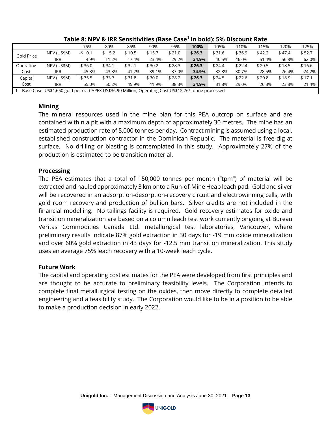|            |                                                                                                        | 75%      | 80%       | 85%    | 90%    | 95%    | 100%   | 105%   | 110%   | 115%   | 120%   | 125%   |
|------------|--------------------------------------------------------------------------------------------------------|----------|-----------|--------|--------|--------|--------|--------|--------|--------|--------|--------|
| Gold Price | NPV (US\$M)                                                                                            | $-5$ 0.1 | 5.2<br>\$ | \$10.5 | \$15.7 | \$21.0 | \$26.3 | \$31.6 | \$36.9 | \$42.2 | \$47.4 | \$52.7 |
|            | <b>IRR</b>                                                                                             | 4.9%     | 11.2%     | 17.4%  | 23.4%  | 29.2%  | 34.9%  | 40.5%  | 46.0%  | 51.4%  | 56.8%  | 62.0%  |
| Operating  | NPV (US\$M)                                                                                            | \$36.0   | \$34.1    | \$32.1 | \$30.2 | \$28.3 | \$26.3 | \$24.4 | \$22.4 | \$20.5 | \$18.5 | \$16.6 |
| Cost       | <b>IRR</b>                                                                                             | 45.3%    | 43.3%     | 41.2%  | 39.1%  | 37.0%  | 34.9%  | 32.8%  | 30.7%  | 28.5%  | 26.4%  | 24.2%  |
| Capital    | NPV (US\$M)                                                                                            | \$35.5   | \$33.7    | \$31.8 | \$30.0 | \$28.2 | \$26.3 | \$24.5 | \$22.6 | \$20.8 | \$18.9 | \$17.1 |
| Cost       | <b>IRR</b>                                                                                             | 55.0%    | 50.2%     | 45.9%  | 41.9%  | 38.3%  | 34.9%  | 31.8%  | 29.0%  | 26.3%  | 23.8%  | 21.4%  |
|            | - Base Case: US\$1,650 gold per oz; CAPEX US\$36.90 Million; Operating Cost US\$12.76/ tonne processed |          |           |        |        |        |        |        |        |        |        |        |

#### **Table 8: NPV & IRR Sensitivities (Base Case<sup>1</sup> in bold): 5% Discount Rate**

# **Mining**

The mineral resources used in the mine plan for this PEA outcrop on surface and are contained within a pit with a maximum depth of approximately 30 metres. The mine has an estimated production rate of 5,000 tonnes per day. Contract mining is assumed using a local, established construction contractor in the Dominican Republic. The material is free-dig at surface. No drilling or blasting is contemplated in this study. Approximately 27% of the production is estimated to be transition material.

# **Processing**

The PEA estimates that a total of 150,000 tonnes per month ("tpm") of material will be extracted and hauled approximately 3 km onto a Run-of-Mine Heap leach pad. Gold and silver will be recovered in an adsorption-desorption-recovery circuit and electrowinning cells, with gold room recovery and production of bullion bars. Silver credits are not included in the financial modelling. No tailings facility is required. Gold recovery estimates for oxide and transition mineralization are based on a column leach test work currently ongoing at Bureau Veritas Commodities Canada Ltd. metallurgical test laboratories, Vancouver, where preliminary results indicate 87% gold extraction in 30 days for -19 mm oxide mineralization and over 60% gold extraction in 43 days for -12.5 mm transition mineralization. This study uses an average 75% leach recovery with a 10-week leach cycle.

#### **Future Work**

The capital and operating cost estimates for the PEA were developed from first principles and are thought to be accurate to preliminary feasibility levels. The Corporation intends to complete final metallurgical testing on the oxides, then move directly to complete detailed engineering and a feasibility study. The Corporation would like to be in a position to be able to make a production decision in early 2022.

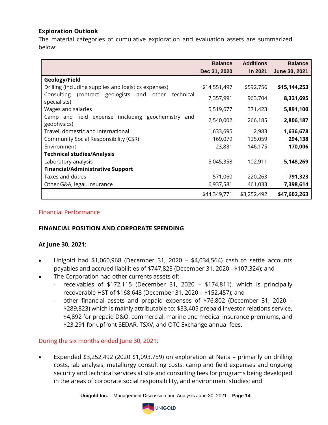# **Exploration Outlook**

The material categories of cumulative exploration and evaluation assets are summarized below:

|                                                                              | <b>Balance</b> | <b>Additions</b> | <b>Balance</b> |
|------------------------------------------------------------------------------|----------------|------------------|----------------|
|                                                                              | Dec 31, 2020   | in 2021          | June 30, 2021  |
| Geology/Field                                                                |                |                  |                |
| Drilling (including supplies and logistics expenses)                         | \$14,551,497   | \$592,756        | \$15,144,253   |
| Consulting (contract geologists<br>other<br>and<br>technical<br>specialists) | 7,357,991      | 963,704          | 8,321,695      |
| Wages and salaries                                                           | 5,519,677      | 371,423          | 5,891,100      |
| Camp and field expense (including geochemistry and<br>geophysics)            | 2,540,002      | 266,185          | 2,806,187      |
| Travel, domestic and international                                           | 1,633,695      | 2,983            | 1,636,678      |
| Community Social Responsibility (CSR)                                        | 169,079        | 125,059          | 294,138        |
| Environment                                                                  | 23,831         | 146,175          | 170,006        |
| <b>Technical studies/Analysis</b>                                            |                |                  |                |
| Laboratory analysis                                                          | 5,045,358      | 102,911          | 5,148,269      |
| <b>Financial/Administrative Support</b>                                      |                |                  |                |
| Taxes and duties                                                             | 571,060        | 220,263          | 791,323        |
| Other G&A, legal, insurance                                                  | 6,937,581      | 461,033          | 7,398,614      |
|                                                                              | \$44,349,771   | \$3,252,492      | \$47,602,263   |

#### Financial Performance

#### **FINANCIAL POSITION AND CORPORATE SPENDING**

#### **At June 30, 2021:**

- Unigold had \$1,060,968 (December 31, 2020 \$4,034,564) cash to settle accounts payables and accrued liabilities of \$747,823 (December 31, 2020 - \$107,324); and
- The Corporation had other currents assets of:
	- receivables of \$172,115 (December 31, 2020 \$174,811), which is principally recoverable HST of \$168,648 (December 31, 2020 – \$152,457); and
	- other financial assets and prepaid expenses of \$76,802 (December 31, 2020 \$289,823) which is mainly attributable to: \$33,405 prepaid investor relations service, \$4,892 for prepaid D&O, commercial, marine and medical insurance premiums, and \$23,291 for upfront SEDAR, TSXV, and OTC Exchange annual fees.

#### During the six months ended June 30, 2021:

• Expended \$3,252,492 (2020 \$1,093,759) on exploration at Neita – primarily on drilling costs, lab analysis, metallurgy consulting costs, camp and field expenses and ongoing security and technical services at site and consulting fees for programs being developed in the areas of corporate social responsibility, and environment studies; and

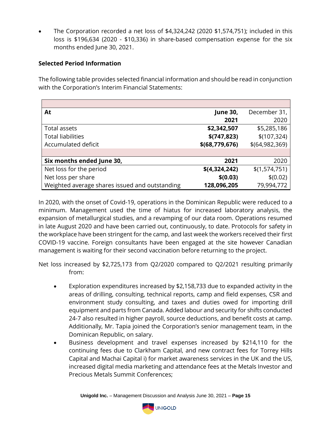• The Corporation recorded a net loss of \$4,324,242 (2020 \$1,574,751); included in this loss is \$196,634 (2020 - \$10,336) in share-based compensation expense for the six months ended June 30, 2021.

# **Selected Period Information**

The following table provides selected financial information and should be read in conjunction with the Corporation's Interim Financial Statements:

| At                                             | <b>June 30,</b>  | December 31,     |
|------------------------------------------------|------------------|------------------|
|                                                | 2021             | 2020             |
| Total assets                                   | \$2,342,507      | \$5,285,186      |
| <b>Total liabilities</b>                       | \$(747, 823)     | \$(107, 324)     |
| Accumulated deficit                            | \$(68, 779, 676) | \$(64, 982, 369) |
|                                                |                  |                  |
| Six months ended June 30,                      | 2021             | 2020             |
| Net loss for the period                        | \$(4,324,242)    | \$(1,574,751)    |
| Net loss per share                             | \$(0.03)         | \$(0.02)         |
| Weighted average shares issued and outstanding | 128,096,205      | 79,994,772       |

In 2020, with the onset of Covid-19, operations in the Dominican Republic were reduced to a minimum. Management used the time of hiatus for increased laboratory analysis, the expansion of metallurgical studies, and a revamping of our data room. Operations resumed in late August 2020 and have been carried out, continuously, to date. Protocols for safety in the workplace have been stringent for the camp, and last week the workers received their first COVID-19 vaccine. Foreign consultants have been engaged at the site however Canadian management is waiting for their second vaccination before returning to the project.

Net loss increased by \$2,725,173 from Q2/2020 compared to Q2/2021 resulting primarily from:

- Exploration expenditures increased by \$2,158,733 due to expanded activity in the areas of drilling, consulting, technical reports, camp and field expenses, CSR and environment study consulting, and taxes and duties owed for importing drill equipment and parts from Canada. Added labour and security for shifts conducted 24-7 also resulted in higher payroll, source deductions, and benefit costs at camp. Additionally, Mr. Tapia joined the Corporation's senior management team, in the Dominican Republic, on salary.
- Business development and travel expenses increased by \$214,110 for the continuing fees due to Clarkham Capital, and new contract fees for Torrey Hills Capital and Machai Capital i) for market awareness services in the UK and the US, increased digital media marketing and attendance fees at the Metals Investor and Precious Metals Summit Conferences;

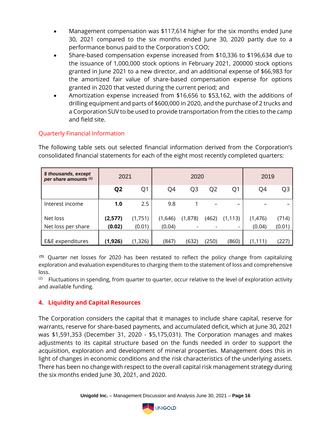- Management compensation was \$117,614 higher for the six months ended June 30, 2021 compared to the six months ended June 30, 2020 partly due to a performance bonus paid to the Corporation's COO;
- Share-based compensation expense increased from \$10,336 to \$196,634 due to the issuance of 1,000,000 stock options in February 2021, 200000 stock options granted in June 2021 to a new director, and an additional expense of \$66,983 for the amortized fair value of share-based compensation expense for options granted in 2020 that vested during the current period; and
- Amortization expense increased from \$16,656 to \$53,162, with the additions of drilling equipment and parts of \$600,000 in 2020, and the purchase of 2 trucks and a Corporation SUV to be used to provide transportation from the cities to the camp and field site.

# Quarterly Financial Information

The following table sets out selected financial information derived from the Corporation's consolidated financial statements for each of the eight most recently completed quarters:

| \$ thousands, except<br>per share amounts (1) | 2021           |         | 2020    |                          |                | 2019                     |          |                |
|-----------------------------------------------|----------------|---------|---------|--------------------------|----------------|--------------------------|----------|----------------|
|                                               | Q <sub>2</sub> | Q1      | Q4      | Q <sub>3</sub>           | Q <sub>2</sub> | Q <sub>1</sub>           | Q4       | Q <sub>3</sub> |
| Interest income                               | 1.0            | 2.5     | 9.8     |                          |                | $\overline{\phantom{0}}$ |          |                |
| Net loss                                      | (2,577)        | (1,751) | (1,646) | (1,878)                  | (462)          | (1, 113)                 | (1,476)  | (714)          |
| Net loss per share                            | (0.02)         | (0.01)  | (0.04)  | $\overline{\phantom{a}}$ |                |                          | (0.04)   | (0.01)         |
|                                               |                |         |         |                          |                |                          |          |                |
| E&E expenditures                              | (1, 926)       | (1,326) | (847)   | (632)                    | (250)          | (860)                    | (1, 111) | (227)          |

**(1)** Quarter net losses for 2020 has been restated to reflect the policy change from capitalizing exploration and evaluation expenditures to charging them to the statement of loss and comprehensive loss.

 $(2)$  Fluctuations in spending, from quarter to quarter, occur relative to the level of exploration activity and available funding.

# **4. Liquidity and Capital Resources**

The Corporation considers the capital that it manages to include share capital, reserve for warrants, reserve for share-based payments, and accumulated deficit, which at June 30, 2021 was \$1,591,353 (December 31, 2020 - \$5,175,031). The Corporation manages and makes adjustments to its capital structure based on the funds needed in order to support the acquisition, exploration and development of mineral properties. Management does this in light of changes in economic conditions and the risk characteristics of the underlying assets. There has been no change with respect to the overall capital risk management strategy during the six months ended June 30, 2021, and 2020.

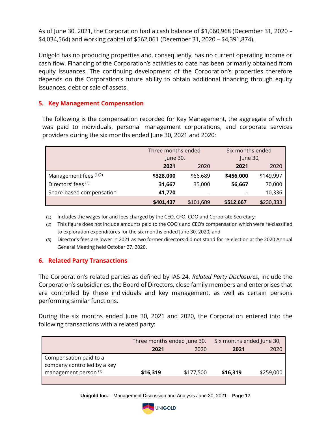As of June 30, 2021, the Corporation had a cash balance of \$1,060,968 (December 31, 2020 – \$4,034,564) and working capital of \$562,061 (December 31, 2020 – \$4,391,874).

Unigold has no producing properties and, consequently, has no current operating income or cash flow. Financing of the Corporation's activities to date has been primarily obtained from equity issuances. The continuing development of the Corporation's properties therefore depends on the Corporation's future ability to obtain additional financing through equity issuances, debt or sale of assets.

# **5. Key Management Compensation**

The following is the compensation recorded for Key Management, the aggregate of which was paid to individuals, personal management corporations, and corporate services providers during the six months ended June 30, 2021 and 2020:

|                          | Three months ended<br>June 30, |           | Six months ended<br>June 30, |           |
|--------------------------|--------------------------------|-----------|------------------------------|-----------|
|                          | 2021<br>2020                   |           | 2021                         | 2020      |
| Management fees (1)(2)   | \$328,000                      | \$66,689  | \$456,000                    | \$149,997 |
| Directors' fees (3)      | 31,667                         | 35,000    | 56,667                       | 70,000    |
| Share-based compensation | 41,770                         |           |                              | 10,336    |
|                          | \$401,437                      | \$101,689 | \$512,667                    | \$230,333 |

(1) Includes the wages for and fees charged by the CEO, CFO, COO and Corporate Secretary;

(2) This figure does not include amounts paid to the COO's and CEO's compensation which were re-classified to exploration expenditures for the six months ended June 30, 2020; and

(3) Director's fees are lower in 2021 as two former directors did not stand for re-election at the 2020 Annual General Meeting held October 27, 2020.

#### **6. Related Party Transactions**

The Corporation's related parties as defined by IAS 24, *Related Party Disclosures*, include the Corporation's subsidiaries, the Board of Directors, close family members and enterprises that are controlled by these individuals and key management, as well as certain persons performing similar functions.

During the six months ended June 30, 2021 and 2020, the Corporation entered into the following transactions with a related party:

|                                                                                           | Three months ended June 30, |           | Six months ended June 30, |           |  |
|-------------------------------------------------------------------------------------------|-----------------------------|-----------|---------------------------|-----------|--|
|                                                                                           | 2021                        | 2020      | 2021                      | 2020      |  |
| Compensation paid to a<br>company controlled by a key<br>management person <sup>(1)</sup> | \$16,319                    | \$177,500 | \$16,319                  | \$259,000 |  |

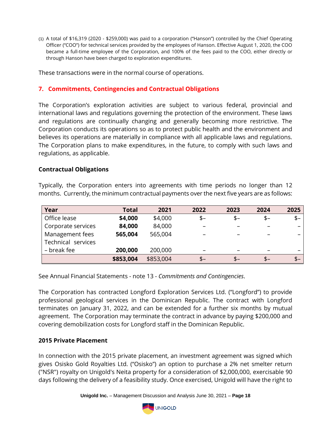(1) A total of \$16,319 (2020 - \$259,000) was paid to a corporation ("Hanson") controlled by the Chief Operating Officer ("COO") for technical services provided by the employees of Hanson. Effective August 1, 2020, the COO became a full-time employee of the Corporation, and 100% of the fees paid to the COO, either directly or through Hanson have been charged to exploration expenditures.

These transactions were in the normal course of operations.

# **7. Commitments, Contingencies and Contractual Obligations**

The Corporation's exploration activities are subject to various federal, provincial and international laws and regulations governing the protection of the environment. These laws and regulations are continually changing and generally becoming more restrictive. The Corporation conducts its operations so as to protect public health and the environment and believes its operations are materially in compliance with all applicable laws and regulations. The Corporation plans to make expenditures, in the future, to comply with such laws and regulations, as applicable.

#### **Contractual Obligations**

| Year               | <b>Total</b> | 2021      | 2022                     | 2023 | 2024 | 2025  |
|--------------------|--------------|-----------|--------------------------|------|------|-------|
| Office lease       | \$4,000      | \$4,000   | $$-$                     | $$-$ | $$-$ | $$ -$ |
| Corporate services | 84,000       | 84,000    |                          |      |      |       |
| Management fees    | 565,004      | 565,004   |                          |      |      |       |
| Technical services |              |           |                          |      |      |       |
| – break fee        | 200,000      | 200,000   | $\overline{\phantom{m}}$ | -    |      |       |
|                    | \$853,004    | \$853,004 | \$–                      | \$–  | $$-$ | $$-$  |

Typically, the Corporation enters into agreements with time periods no longer than 12 months. Currently, the minimum contractual payments over the next five years are as follows:

See Annual Financial Statements - note 13 - *Commitments and Contingencies*.

The Corporation has contracted Longford Exploration Services Ltd. ("Longford") to provide professional geological services in the Dominican Republic. The contract with Longford terminates on January 31, 2022, and can be extended for a further six months by mutual agreement. The Corporation may terminate the contract in advance by paying \$200,000 and covering demobilization costs for Longford staff in the Dominican Republic.

#### **2015 Private Placement**

In connection with the 2015 private placement, an investment agreement was signed which gives Osisko Gold Royalties Ltd. ("Osisko") an option to purchase a 2% net smelter return ("NSR") royalty on Unigold's Neita property for a consideration of \$2,000,000, exercisable 90 days following the delivery of a feasibility study. Once exercised, Unigold will have the right to

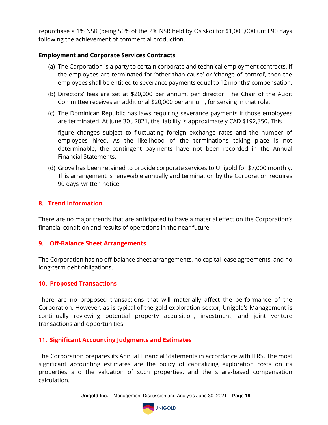repurchase a 1% NSR (being 50% of the 2% NSR held by Osisko) for \$1,000,000 until 90 days following the achievement of commercial production.

#### **Employment and Corporate Services Contracts**

- (a) The Corporation is a party to certain corporate and technical employment contracts. If the employees are terminated for 'other than cause' or 'change of control', then the employees shall be entitled to severance payments equal to 12 months' compensation.
- (b) Directors' fees are set at \$20,000 per annum, per director. The Chair of the Audit Committee receives an additional \$20,000 per annum, for serving in that role.
- (c) The Dominican Republic has laws requiring severance payments if those employees are terminated. At June 30 , 2021, the liability is approximately CAD \$192,350. This

figure changes subject to fluctuating foreign exchange rates and the number of employees hired. As the likelihood of the terminations taking place is not determinable, the contingent payments have not been recorded in the Annual Financial Statements.

(d) Grove has been retained to provide corporate services to Unigold for \$7,000 monthly. This arrangement is renewable annually and termination by the Corporation requires 90 days' written notice.

### **8. Trend Information**

There are no major trends that are anticipated to have a material effect on the Corporation's financial condition and results of operations in the near future.

#### **9. Off-Balance Sheet Arrangements**

The Corporation has no off-balance sheet arrangements, no capital lease agreements, and no long-term debt obligations.

#### **10. Proposed Transactions**

There are no proposed transactions that will materially affect the performance of the Corporation. However, as is typical of the gold exploration sector, Unigold's Management is continually reviewing potential property acquisition, investment, and joint venture transactions and opportunities.

#### **11. Significant Accounting Judgments and Estimates**

The Corporation prepares its Annual Financial Statements in accordance with IFRS. The most significant accounting estimates are the policy of capitalizing exploration costs on its properties and the valuation of such properties, and the share-based compensation calculation.

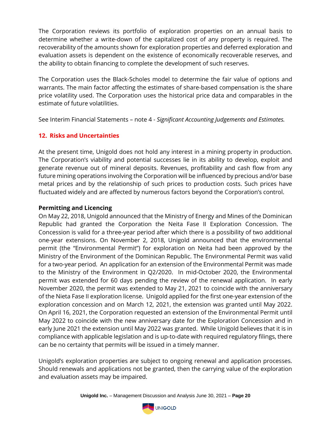The Corporation reviews its portfolio of exploration properties on an annual basis to determine whether a write-down of the capitalized cost of any property is required. The recoverability of the amounts shown for exploration properties and deferred exploration and evaluation assets is dependent on the existence of economically recoverable reserves, and the ability to obtain financing to complete the development of such reserves.

The Corporation uses the Black-Scholes model to determine the fair value of options and warrants. The main factor affecting the estimates of share-based compensation is the share price volatility used. The Corporation uses the historical price data and comparables in the estimate of future volatilities.

See Interim Financial Statements – note 4 - *Significant Accounting Judgements and Estimates.*

# **12. Risks and Uncertainties**

At the present time, Unigold does not hold any interest in a mining property in production. The Corporation's viability and potential successes lie in its ability to develop, exploit and generate revenue out of mineral deposits. Revenues, profitability and cash flow from any future mining operations involving the Corporation will be influenced by precious and/or base metal prices and by the relationship of such prices to production costs. Such prices have fluctuated widely and are affected by numerous factors beyond the Corporation's control.

# **Permitting and Licencing**

On May 22, 2018, Unigold announced that the Ministry of Energy and Mines of the Dominican Republic had granted the Corporation the Neita Fase II Exploration Concession. The Concession is valid for a three-year period after which there is a possibility of two additional one-year extensions. On November 2, 2018, Unigold announced that the environmental permit (the "Environmental Permit") for exploration on Neita had been approved by the Ministry of the Environment of the Dominican Republic. The Environmental Permit was valid for a two-year period. An application for an extension of the Environmental Permit was made to the Ministry of the Environment in Q2/2020. In mid-October 2020, the Environmental permit was extended for 60 days pending the review of the renewal application. In early November 2020, the permit was extended to May 21, 2021 to coincide with the anniversary of the Nieta Fase II exploration license. Unigold applied for the first one-year extension of the exploration concession and on March 12, 2021, the extension was granted until May 2022. On April 16, 2021, the Corporation requested an extension of the Environmental Permit until May 2022 to coincide with the new anniversary date for the Exploration Concession and in early June 2021 the extension until May 2022 was granted. While Unigold believes that it is in compliance with applicable legislation and is up-to-date with required regulatory filings, there can be no certainty that permits will be issued in a timely manner.

Unigold's exploration properties are subject to ongoing renewal and application processes. Should renewals and applications not be granted, then the carrying value of the exploration and evaluation assets may be impaired.

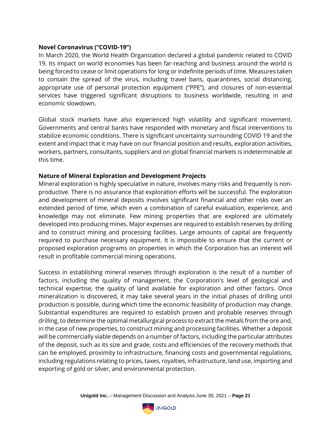#### **Novel Coronavirus ("COVID-19")**

In March 2020, the World Health Organization declared a global pandemic related to COVID 19. Its impact on world economies has been far-reaching and business around the world is being forced to cease or limit operations for long or indefinite periods of time. Measures taken to contain the spread of the virus, including travel bans, quarantines, social distancing, appropriate use of personal protection equipment ("PPE"), and closures of non-essential services have triggered significant disruptions to business worldwide, resulting in and economic slowdown.

Global stock markets have also experienced high volatility and significant movement. Governments and central banks have responded with monetary and fiscal interventions to stabilize economic conditions. There is significant uncertainty surrounding COVID 19 and the extent and impact that it may have on our financial position and results, exploration activities, workers, partners, consultants, suppliers and on global financial markets is indeterminable at this time.

#### **Nature of Mineral Exploration and Development Projects**

Mineral exploration is highly speculative in nature, involves many risks and frequently is nonproductive. There is no assurance that exploration efforts will be successful. The exploration and development of mineral deposits involves significant financial and other risks over an extended period of time, which even a combination of careful evaluation, experience, and knowledge may not eliminate. Few mining properties that are explored are ultimately developed into producing mines. Major expenses are required to establish reserves by drilling and to construct mining and processing facilities. Large amounts of capital are frequently required to purchase necessary equipment. It is impossible to ensure that the current or proposed exploration programs on properties in which the Corporation has an interest will result in profitable commercial mining operations.

Success in establishing mineral reserves through exploration is the result of a number of factors, including the quality of management, the Corporation's level of geological and technical expertise, the quality of land available for exploration and other factors. Once mineralization is discovered, it may take several years in the initial phases of drilling until production is possible, during which time the economic feasibility of production may change. Substantial expenditures are required to establish proven and probable reserves through drilling, to determine the optimal metallurgical process to extract the metals from the ore and, in the case of new properties, to construct mining and processing facilities. Whether a deposit will be commercially viable depends on a number of factors, including the particular attributes of the deposit, such as its size and grade, costs and efficiencies of the recovery methods that can be employed, proximity to infrastructure, financing costs and governmental regulations, including regulations relating to prices, taxes, royalties, infrastructure, land use, importing and exporting of gold or silver, and environmental protection.

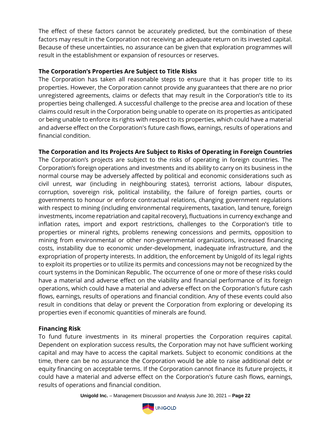The effect of these factors cannot be accurately predicted, but the combination of these factors may result in the Corporation not receiving an adequate return on its invested capital. Because of these uncertainties, no assurance can be given that exploration programmes will result in the establishment or expansion of resources or reserves.

### **The Corporation's Properties Are Subject to Title Risks**

The Corporation has taken all reasonable steps to ensure that it has proper title to its properties. However, the Corporation cannot provide any guarantees that there are no prior unregistered agreements, claims or defects that may result in the Corporation's title to its properties being challenged. A successful challenge to the precise area and location of these claims could result in the Corporation being unable to operate on its properties as anticipated or being unable to enforce its rights with respect to its properties, which could have a material and adverse effect on the Corporation's future cash flows, earnings, results of operations and financial condition.

# **The Corporation and Its Projects Are Subject to Risks of Operating in Foreign Countries**

The Corporation's projects are subject to the risks of operating in foreign countries. The Corporation's foreign operations and investments and its ability to carry on its business in the normal course may be adversely affected by political and economic considerations such as civil unrest, war (including in neighbouring states), terrorist actions, labour disputes, corruption, sovereign risk, political instability, the failure of foreign parties, courts or governments to honour or enforce contractual relations, changing government regulations with respect to mining (including environmental requirements, taxation, land tenure, foreign investments, income repatriation and capital recovery), fluctuations in currency exchange and inflation rates, import and export restrictions, challenges to the Corporation's title to properties or mineral rights, problems renewing concessions and permits, opposition to mining from environmental or other non-governmental organizations, increased financing costs, instability due to economic under-development, inadequate infrastructure, and the expropriation of property interests. In addition, the enforcement by Unigold of its legal rights to exploit its properties or to utilize its permits and concessions may not be recognized by the court systems in the Dominican Republic. The occurrence of one or more of these risks could have a material and adverse effect on the viability and financial performance of its foreign operations, which could have a material and adverse effect on the Corporation's future cash flows, earnings, results of operations and financial condition. Any of these events could also result in conditions that delay or prevent the Corporation from exploring or developing its properties even if economic quantities of minerals are found.

# **Financing Risk**

To fund future investments in its mineral properties the Corporation requires capital. Dependent on exploration success results, the Corporation may not have sufficient working capital and may have to access the capital markets. Subject to economic conditions at the time, there can be no assurance the Corporation would be able to raise additional debt or equity financing on acceptable terms. If the Corporation cannot finance its future projects, it could have a material and adverse effect on the Corporation's future cash flows, earnings, results of operations and financial condition.

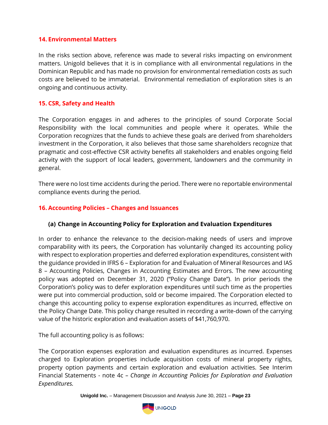#### **14. Environmental Matters**

In the risks section above, reference was made to several risks impacting on environment matters. Unigold believes that it is in compliance with all environmental regulations in the Dominican Republic and has made no provision for environmental remediation costs as such costs are believed to be immaterial. Environmental remediation of exploration sites is an ongoing and continuous activity.

#### **15. CSR, Safety and Health**

The Corporation engages in and adheres to the principles of sound Corporate Social Responsibility with the local communities and people where it operates. While the Corporation recognizes that the funds to achieve these goals are derived from shareholders investment in the Corporation, it also believes that those same shareholders recognize that pragmatic and cost-effective CSR activity benefits all stakeholders and enables ongoing field activity with the support of local leaders, government, landowners and the community in general.

There were no lost time accidents during the period. There were no reportable environmental compliance events during the period.

#### **16. Accounting Policies – Changes and Issuances**

#### **(a) Change in Accounting Policy for Exploration and Evaluation Expenditures**

In order to enhance the relevance to the decision-making needs of users and improve comparability with its peers, the Corporation has voluntarily changed its accounting policy with respect to exploration properties and deferred exploration expenditures, consistent with the guidance provided in IFRS 6 – Exploration for and Evaluation of Mineral Resources and IAS 8 – Accounting Policies, Changes in Accounting Estimates and Errors. The new accounting policy was adopted on December 31, 2020 ("Policy Change Date"). In prior periods the Corporation's policy was to defer exploration expenditures until such time as the properties were put into commercial production, sold or become impaired. The Corporation elected to change this accounting policy to expense exploration expenditures as incurred, effective on the Policy Change Date. This policy change resulted in recording a write-down of the carrying value of the historic exploration and evaluation assets of \$41,760,970.

The full accounting policy is as follows:

The Corporation expenses exploration and evaluation expenditures as incurred. Expenses charged to Exploration properties include acquisition costs of mineral property rights, property option payments and certain exploration and evaluation activities. See Interim Financial Statements - note 4c *– Change in Accounting Policies for Exploration and Evaluation Expenditures.* 

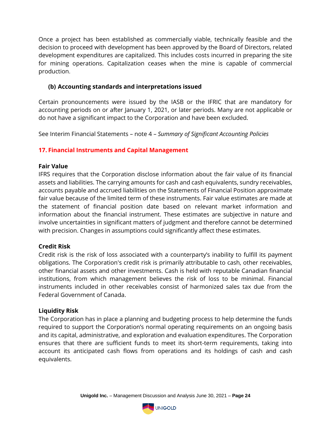Once a project has been established as commercially viable, technically feasible and the decision to proceed with development has been approved by the Board of Directors, related development expenditures are capitalized. This includes costs incurred in preparing the site for mining operations. Capitalization ceases when the mine is capable of commercial production.

# **(b) Accounting standards and interpretations issued**

Certain pronouncements were issued by the IASB or the IFRIC that are mandatory for accounting periods on or after January 1, 2021, or later periods. Many are not applicable or do not have a significant impact to the Corporation and have been excluded.

See Interim Financial Statements – note 4 – *Summary of Significant Accounting Policies*

### **17. Financial Instruments and Capital Management**

#### **Fair Value**

IFRS requires that the Corporation disclose information about the fair value of its financial assets and liabilities. The carrying amounts for cash and cash equivalents, sundry receivables, accounts payable and accrued liabilities on the Statements of Financial Position approximate fair value because of the limited term of these instruments. Fair value estimates are made at the statement of financial position date based on relevant market information and information about the financial instrument. These estimates are subjective in nature and involve uncertainties in significant matters of judgment and therefore cannot be determined with precision. Changes in assumptions could significantly affect these estimates.

#### **Credit Risk**

Credit risk is the risk of loss associated with a counterparty's inability to fulfill its payment obligations. The Corporation's credit risk is primarily attributable to cash, other receivables, other financial assets and other investments. Cash is held with reputable Canadian financial institutions, from which management believes the risk of loss to be minimal. Financial instruments included in other receivables consist of harmonized sales tax due from the Federal Government of Canada.

#### **Liquidity Risk**

The Corporation has in place a planning and budgeting process to help determine the funds required to support the Corporation's normal operating requirements on an ongoing basis and its capital, administrative, and exploration and evaluation expenditures. The Corporation ensures that there are sufficient funds to meet its short-term requirements, taking into account its anticipated cash flows from operations and its holdings of cash and cash equivalents.

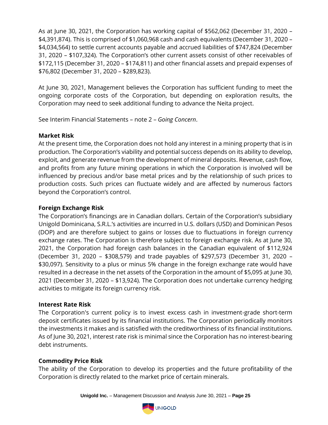As at June 30, 2021, the Corporation has working capital of \$562,062 (December 31, 2020 – \$4,391,874). This is comprised of \$1,060,968 cash and cash equivalents (December 31, 2020 – \$4,034,564) to settle current accounts payable and accrued liabilities of \$747,824 (December 31, 2020 – \$107,324). The Corporation's other current assets consist of other receivables of \$172,115 (December 31, 2020 – \$174,811) and other financial assets and prepaid expenses of \$76,802 (December 31, 2020 – \$289,823).

At June 30, 2021, Management believes the Corporation has sufficient funding to meet the ongoing corporate costs of the Corporation, but depending on exploration results, the Corporation may need to seek additional funding to advance the Neita project.

See Interim Financial Statements – note 2 – *Going Concern*.

# **Market Risk**

At the present time, the Corporation does not hold any interest in a mining property that is in production. The Corporation's viability and potential success depends on its ability to develop, exploit, and generate revenue from the development of mineral deposits. Revenue, cash flow, and profits from any future mining operations in which the Corporation is involved will be influenced by precious and/or base metal prices and by the relationship of such prices to production costs. Such prices can fluctuate widely and are affected by numerous factors beyond the Corporation's control.

# **Foreign Exchange Risk**

The Corporation's financings are in Canadian dollars. Certain of the Corporation's subsidiary Unigold Dominicana, S.R.L.'s activities are incurred in U.S. dollars (USD) and Dominican Pesos (DOP) and are therefore subject to gains or losses due to fluctuations in foreign currency exchange rates. The Corporation is therefore subject to foreign exchange risk. As at June 30, 2021, the Corporation had foreign cash balances in the Canadian equivalent of \$112,924 (December 31, 2020 – \$308,579) and trade payables of \$297,573 (December 31, 2020 – \$30,097). Sensitivity to a plus or minus 5% change in the foreign exchange rate would have resulted in a decrease in the net assets of the Corporation in the amount of \$5,095 at June 30, 2021 (December 31, 2020 – \$13,924). The Corporation does not undertake currency hedging activities to mitigate its foreign currency risk.

# **Interest Rate Risk**

The Corporation's current policy is to invest excess cash in investment-grade short-term deposit certificates issued by its financial institutions. The Corporation periodically monitors the investments it makes and is satisfied with the creditworthiness of its financial institutions. As of June 30, 2021, interest rate risk is minimal since the Corporation has no interest-bearing debt instruments.

# **Commodity Price Risk**

The ability of the Corporation to develop its properties and the future profitability of the Corporation is directly related to the market price of certain minerals.

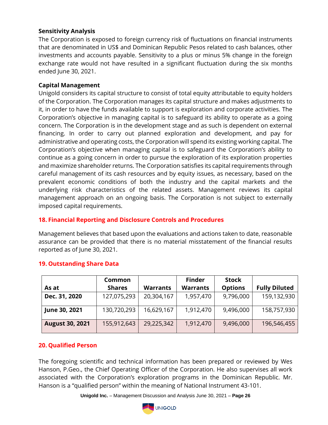#### **Sensitivity Analysis**

The Corporation is exposed to foreign currency risk of fluctuations on financial instruments that are denominated in US\$ and Dominican Republic Pesos related to cash balances, other investments and accounts payable. Sensitivity to a plus or minus 5% change in the foreign exchange rate would not have resulted in a significant fluctuation during the six months ended June 30, 2021.

#### **Capital Management**

Unigold considers its capital structure to consist of total equity attributable to equity holders of the Corporation. The Corporation manages its capital structure and makes adjustments to it, in order to have the funds available to support is exploration and corporate activities. The Corporation's objective in managing capital is to safeguard its ability to operate as a going concern. The Corporation is in the development stage and as such is dependent on external financing. In order to carry out planned exploration and development, and pay for administrative and operating costs, the Corporation will spend its existing working capital. The Corporation's objective when managing capital is to safeguard the Corporation's ability to continue as a going concern in order to pursue the exploration of its exploration properties and maximize shareholder returns. The Corporation satisfies its capital requirements through careful management of its cash resources and by equity issues, as necessary, based on the prevalent economic conditions of both the industry and the capital markets and the underlying risk characteristics of the related assets. Management reviews its capital management approach on an ongoing basis. The Corporation is not subject to externally imposed capital requirements.

#### **18. Financial Reporting and Disclosure Controls and Procedures**

Management believes that based upon the evaluations and actions taken to date, reasonable assurance can be provided that there is no material misstatement of the financial results reported as of June 30, 2021.

|                        | Common        |                 | <b>Finder</b>   | <b>Stock</b>   |                      |
|------------------------|---------------|-----------------|-----------------|----------------|----------------------|
| As at                  | <b>Shares</b> | <b>Warrants</b> | <b>Warrants</b> | <b>Options</b> | <b>Fully Diluted</b> |
| Dec. 31, 2020          | 127,075,293   | 20,304,167      | 1,957,470       | 9,796,000      | 159,132,930          |
| June 30, 2021          | 130,720,293   | 16,629,167      | 1,912,470       | 9,496,000      | 158,757,930          |
| <b>August 30, 2021</b> | 155,912,643   | 29,225,342      | 1,912,470       | 9,496,000      | 196,546,455          |

#### **19. Outstanding Share Data**

#### **20. Qualified Person**

The foregoing scientific and technical information has been prepared or reviewed by Wes Hanson, P.Geo., the Chief Operating Officer of the Corporation. He also supervises all work associated with the Corporation's exploration programs in the Dominican Republic. Mr. Hanson is a "qualified person" within the meaning of National Instrument 43-101.